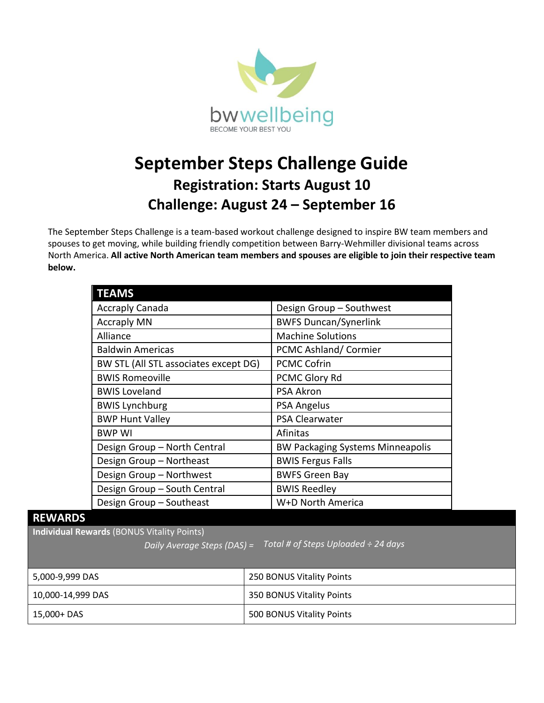

## **September Steps Challenge Guide Registration: Starts August 10 Challenge: August 24 – September 16**

The September Steps Challenge is a team-based workout challenge designed to inspire BW team members and spouses to get moving, while building friendly competition between Barry-Wehmiller divisional teams across North America. **All active North American team members and spouses are eligible to join their respective team below.**

| <b>TEAMS</b>                          |                                         |  |
|---------------------------------------|-----------------------------------------|--|
| <b>Accraply Canada</b>                | Design Group - Southwest                |  |
| <b>Accraply MN</b>                    | <b>BWFS Duncan/Synerlink</b>            |  |
| Alliance                              | <b>Machine Solutions</b>                |  |
| <b>Baldwin Americas</b>               | PCMC Ashland/Cormier                    |  |
| BW STL (All STL associates except DG) | <b>PCMC Cofrin</b>                      |  |
| <b>BWIS Romeoville</b>                | PCMC Glory Rd                           |  |
| <b>BWIS Loveland</b>                  | <b>PSA Akron</b>                        |  |
| <b>BWIS Lynchburg</b>                 | <b>PSA Angelus</b>                      |  |
| <b>BWP Hunt Valley</b>                | <b>PSA Clearwater</b>                   |  |
| <b>BWP WI</b>                         | Afinitas                                |  |
| Design Group - North Central          | <b>BW Packaging Systems Minneapolis</b> |  |
| Design Group - Northeast              | <b>BWIS Fergus Falls</b>                |  |
| Design Group - Northwest              | <b>BWFS Green Bay</b>                   |  |
| Design Group - South Central          | <b>BWIS Reedley</b>                     |  |
| Design Group - Southeast              | W+D North America                       |  |

## **REWARDS**

**Individual Rewards** (BONUS Vitality Points)

*Daily Average Steps (DAS) = Total # of Steps Uploaded ÷ 24 days*

| 5,000-9,999 DAS   | 250 BONUS Vitality Points |
|-------------------|---------------------------|
| 10,000-14,999 DAS | 350 BONUS Vitality Points |
| 15,000+ DAS       | 500 BONUS Vitality Points |